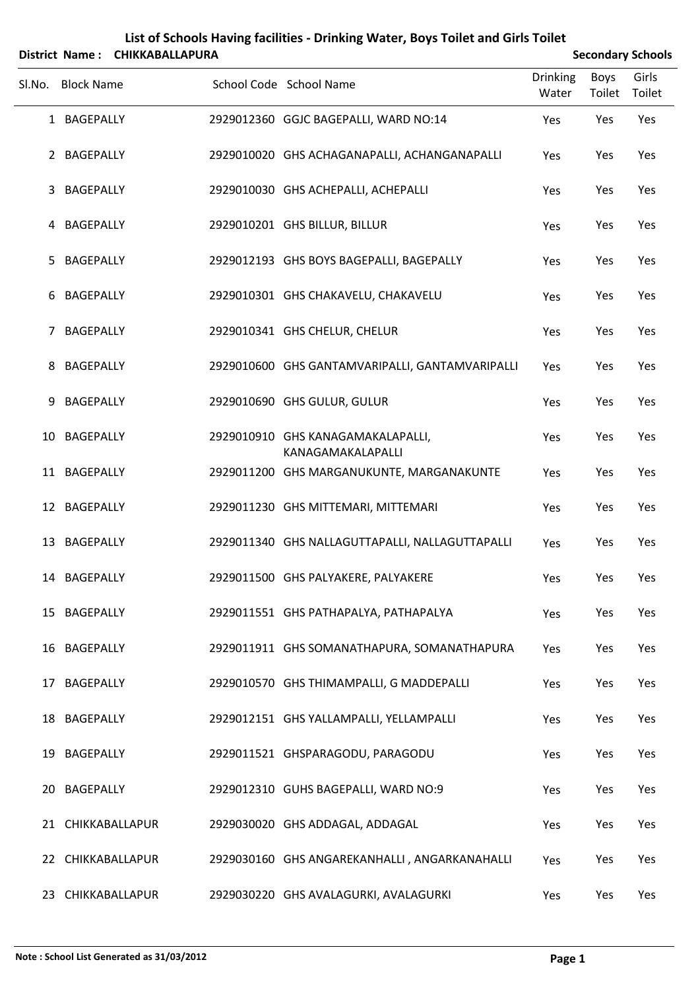| List of Schools Having facilities - Drinking Water, Boys Toilet and Girls Toilet<br><b>Secondary Schools</b><br><b>CHIKKABALLAPURA</b><br><b>District Name:</b> |                   |  |  |                                                        |                 |             |        |  |
|-----------------------------------------------------------------------------------------------------------------------------------------------------------------|-------------------|--|--|--------------------------------------------------------|-----------------|-------------|--------|--|
|                                                                                                                                                                 |                   |  |  |                                                        | <b>Drinking</b> | <b>Boys</b> | Girls  |  |
| Sl.No.                                                                                                                                                          | <b>Block Name</b> |  |  | School Code School Name                                | Water           | Toilet      | Toilet |  |
|                                                                                                                                                                 | 1 BAGEPALLY       |  |  | 2929012360 GGJC BAGEPALLI, WARD NO:14                  | Yes             | Yes         | Yes    |  |
|                                                                                                                                                                 | 2 BAGEPALLY       |  |  | 2929010020 GHS ACHAGANAPALLI, ACHANGANAPALLI           | Yes             | Yes         | Yes    |  |
| 3                                                                                                                                                               | BAGEPALLY         |  |  | 2929010030 GHS ACHEPALLI, ACHEPALLI                    | Yes             | Yes         | Yes    |  |
| 4                                                                                                                                                               | BAGEPALLY         |  |  | 2929010201 GHS BILLUR, BILLUR                          | Yes             | Yes         | Yes    |  |
| 5                                                                                                                                                               | <b>BAGEPALLY</b>  |  |  | 2929012193 GHS BOYS BAGEPALLI, BAGEPALLY               | Yes             | Yes         | Yes    |  |
| 6                                                                                                                                                               | <b>BAGEPALLY</b>  |  |  | 2929010301 GHS CHAKAVELU, CHAKAVELU                    | Yes             | Yes         | Yes    |  |
| 7                                                                                                                                                               | <b>BAGEPALLY</b>  |  |  | 2929010341 GHS CHELUR, CHELUR                          | Yes             | Yes         | Yes    |  |
| 8                                                                                                                                                               | <b>BAGEPALLY</b>  |  |  | 2929010600 GHS GANTAMVARIPALLI, GANTAMVARIPALLI        | Yes             | Yes         | Yes    |  |
| 9                                                                                                                                                               | <b>BAGEPALLY</b>  |  |  | 2929010690 GHS GULUR, GULUR                            | Yes             | Yes         | Yes    |  |
| 10                                                                                                                                                              | <b>BAGEPALLY</b>  |  |  | 2929010910 GHS KANAGAMAKALAPALLI,<br>KANAGAMAKALAPALLI | Yes             | Yes         | Yes    |  |
|                                                                                                                                                                 | 11 BAGEPALLY      |  |  | 2929011200 GHS MARGANUKUNTE, MARGANAKUNTE              | Yes             | Yes         | Yes    |  |
|                                                                                                                                                                 | 12 BAGEPALLY      |  |  | 2929011230 GHS MITTEMARI, MITTEMARI                    | Yes             | Yes         | Yes    |  |
|                                                                                                                                                                 | 13 BAGEPALLY      |  |  | 2929011340 GHS NALLAGUTTAPALLI, NALLAGUTTAPALLI        | Yes             | Yes         | Yes    |  |
|                                                                                                                                                                 | 14 BAGEPALLY      |  |  | 2929011500 GHS PALYAKERE, PALYAKERE                    | Yes             | Yes         | Yes    |  |
|                                                                                                                                                                 | 15 BAGEPALLY      |  |  | 2929011551 GHS PATHAPALYA, PATHAPALYA                  | Yes             | Yes         | Yes    |  |
|                                                                                                                                                                 | 16 BAGEPALLY      |  |  | 2929011911 GHS SOMANATHAPURA, SOMANATHAPURA            | Yes             | Yes         | Yes    |  |
|                                                                                                                                                                 | 17 BAGEPALLY      |  |  | 2929010570 GHS THIMAMPALLI, G MADDEPALLI               | Yes             | Yes         | Yes    |  |
|                                                                                                                                                                 | 18 BAGEPALLY      |  |  | 2929012151 GHS YALLAMPALLI, YELLAMPALLI                | Yes             | Yes         | Yes    |  |
|                                                                                                                                                                 | 19 BAGEPALLY      |  |  | 2929011521 GHSPARAGODU, PARAGODU                       | Yes             | Yes         | Yes    |  |
| 20                                                                                                                                                              | BAGEPALLY         |  |  | 2929012310 GUHS BAGEPALLI, WARD NO:9                   | Yes             | Yes         | Yes    |  |
|                                                                                                                                                                 | 21 CHIKKABALLAPUR |  |  | 2929030020 GHS ADDAGAL, ADDAGAL                        | Yes             | Yes         | Yes    |  |
|                                                                                                                                                                 | 22 CHIKKABALLAPUR |  |  | 2929030160 GHS ANGAREKANHALLI, ANGARKANAHALLI          | Yes             | Yes         | Yes    |  |
|                                                                                                                                                                 | 23 CHIKKABALLAPUR |  |  | 2929030220 GHS AVALAGURKI, AVALAGURKI                  | Yes             | Yes         | Yes    |  |

## **Note : School List Generated as 31/03/2012 Page 1**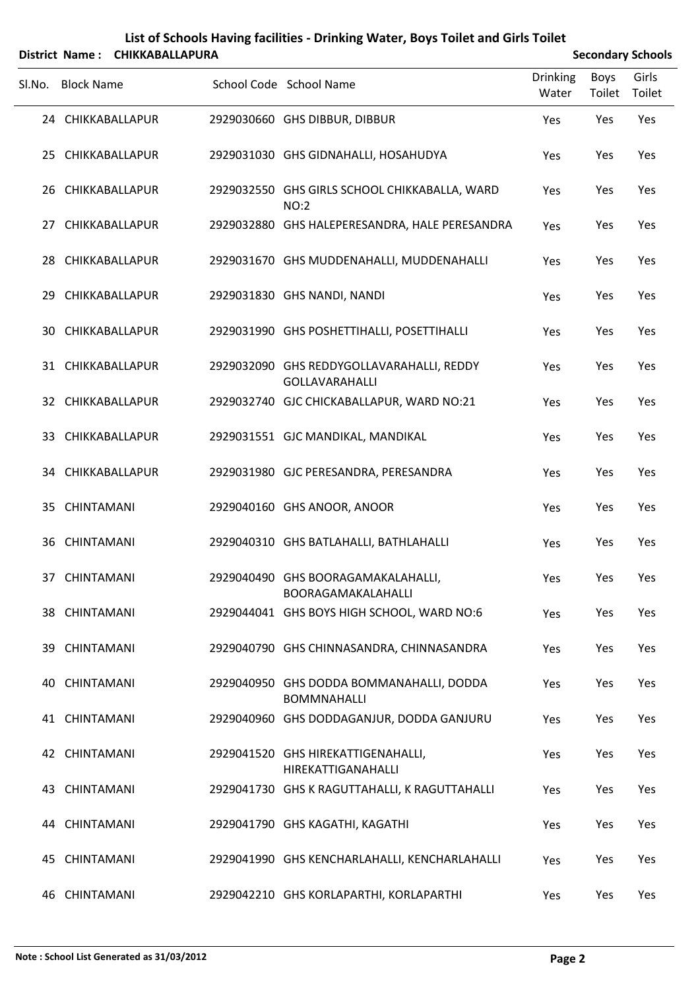|        |                   | District Name: CHIKKABALLAPURA |                                                                    |                          | <b>Secondary Schools</b> |                 |
|--------|-------------------|--------------------------------|--------------------------------------------------------------------|--------------------------|--------------------------|-----------------|
| Sl.No. | <b>Block Name</b> |                                | School Code School Name                                            | <b>Drinking</b><br>Water | Boys<br>Toilet           | Girls<br>Toilet |
|        | 24 CHIKKABALLAPUR |                                | 2929030660 GHS DIBBUR, DIBBUR                                      | Yes                      | Yes                      | Yes             |
|        | 25 CHIKKABALLAPUR |                                | 2929031030 GHS GIDNAHALLI, HOSAHUDYA                               | Yes                      | Yes                      | Yes             |
|        | 26 CHIKKABALLAPUR |                                | 2929032550 GHS GIRLS SCHOOL CHIKKABALLA, WARD<br>NO:2              | Yes                      | Yes                      | Yes             |
| 27     |                   | CHIKKABALLAPUR                 | 2929032880 GHS HALEPERESANDRA, HALE PERESANDRA                     | Yes                      | Yes                      | Yes             |
|        | 28 CHIKKABALLAPUR |                                | 2929031670 GHS MUDDENAHALLI, MUDDENAHALLI                          | Yes                      | Yes                      | Yes             |
| 29     |                   | CHIKKABALLAPUR                 | 2929031830 GHS NANDI, NANDI                                        | Yes                      | Yes                      | Yes             |
|        | 30 CHIKKABALLAPUR |                                | 2929031990 GHS POSHETTIHALLI, POSETTIHALLI                         | Yes                      | Yes                      | Yes             |
|        | 31 CHIKKABALLAPUR |                                | 2929032090 GHS REDDYGOLLAVARAHALLI, REDDY<br><b>GOLLAVARAHALLI</b> | Yes                      | Yes                      | Yes             |
|        | 32 CHIKKABALLAPUR |                                | 2929032740 GJC CHICKABALLAPUR, WARD NO:21                          | Yes                      | Yes                      | Yes             |
|        | 33 CHIKKABALLAPUR |                                | 2929031551 GJC MANDIKAL, MANDIKAL                                  | Yes                      | Yes                      | Yes             |
|        | 34 CHIKKABALLAPUR |                                | 2929031980 GJC PERESANDRA, PERESANDRA                              | Yes                      | Yes                      | Yes             |
|        | 35 CHINTAMANI     |                                | 2929040160 GHS ANOOR, ANOOR                                        | Yes                      | Yes                      | Yes             |
|        | 36 CHINTAMANI     |                                | 2929040310 GHS BATLAHALLI, BATHLAHALLI                             | Yes                      | Yes                      | Yes             |
|        | 37 CHINTAMANI     |                                | 2929040490 GHS BOORAGAMAKALAHALLI,<br>BOORAGAMAKALAHALLI           | Yes                      | Yes                      | Yes             |
|        | 38 CHINTAMANI     |                                | 2929044041 GHS BOYS HIGH SCHOOL, WARD NO:6                         | Yes                      | Yes                      | Yes             |
|        | 39 CHINTAMANI     |                                | 2929040790 GHS CHINNASANDRA, CHINNASANDRA                          | Yes                      | Yes                      | Yes             |
|        | 40 CHINTAMANI     |                                | 2929040950 GHS DODDA BOMMANAHALLI, DODDA<br><b>BOMMNAHALLI</b>     | Yes                      | Yes                      | Yes             |
|        | 41 CHINTAMANI     |                                | 2929040960 GHS DODDAGANJUR, DODDA GANJURU                          | Yes                      | Yes                      | Yes             |
|        | 42 CHINTAMANI     |                                | 2929041520 GHS HIREKATTIGENAHALLI,<br>HIREKATTIGANAHALLI           | Yes                      | Yes                      | Yes             |
|        | 43 CHINTAMANI     |                                | 2929041730 GHS K RAGUTTAHALLI, K RAGUTTAHALLI                      | Yes                      | Yes                      | Yes             |
|        | 44 CHINTAMANI     |                                | 2929041790 GHS KAGATHI, KAGATHI                                    | Yes                      | Yes                      | Yes             |
|        | 45 CHINTAMANI     |                                | 2929041990 GHS KENCHARLAHALLI, KENCHARLAHALLI                      | Yes                      | Yes                      | Yes             |
|        | 46 CHINTAMANI     |                                | 2929042210 GHS KORLAPARTHI, KORLAPARTHI                            | Yes                      | Yes                      | Yes             |

**List of Schools Having facilities ‐ Drinking Water, Boys Toilet and Girls Toilet**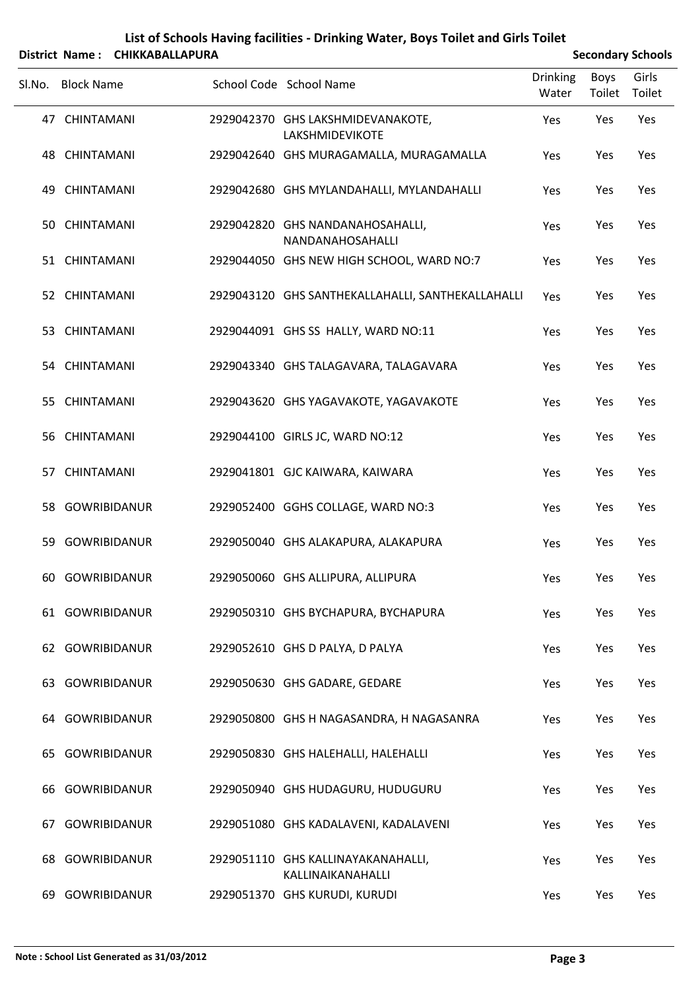|        |                     | District Name: CHIKKABALLAPURA | <b>Secondary Schools</b>                                |                          |                |                 |
|--------|---------------------|--------------------------------|---------------------------------------------------------|--------------------------|----------------|-----------------|
| Sl.No. | <b>Block Name</b>   |                                | School Code School Name                                 | <b>Drinking</b><br>Water | Boys<br>Toilet | Girls<br>Toilet |
|        | 47 CHINTAMANI       |                                | 2929042370 GHS LAKSHMIDEVANAKOTE,<br>LAKSHMIDEVIKOTE    | Yes                      | Yes            | Yes             |
|        | 48 CHINTAMANI       |                                | 2929042640 GHS MURAGAMALLA, MURAGAMALLA                 | Yes                      | Yes            | Yes             |
| 49     | CHINTAMANI          |                                | 2929042680 GHS MYLANDAHALLI, MYLANDAHALLI               | Yes                      | Yes            | Yes             |
|        | 50 CHINTAMANI       |                                | 2929042820 GHS NANDANAHOSAHALLI,<br>NANDANAHOSAHALLI    | Yes                      | Yes            | Yes             |
|        | 51 CHINTAMANI       |                                | 2929044050 GHS NEW HIGH SCHOOL, WARD NO:7               | Yes                      | Yes            | Yes             |
|        | 52 CHINTAMANI       |                                | 2929043120 GHS SANTHEKALLAHALLI, SANTHEKALLAHALLI       | Yes                      | Yes            | Yes             |
| 53.    | CHINTAMANI          |                                | 2929044091 GHS SS HALLY, WARD NO:11                     | Yes                      | Yes            | Yes             |
|        | 54 CHINTAMANI       |                                | 2929043340 GHS TALAGAVARA, TALAGAVARA                   | Yes                      | Yes            | Yes             |
| 55.    | CHINTAMANI          |                                | 2929043620 GHS YAGAVAKOTE, YAGAVAKOTE                   | Yes                      | Yes            | Yes             |
|        | 56 CHINTAMANI       |                                | 2929044100 GIRLS JC, WARD NO:12                         | Yes                      | Yes            | Yes             |
|        | 57 CHINTAMANI       |                                | 2929041801 GJC KAIWARA, KAIWARA                         | Yes                      | Yes            | Yes             |
|        | 58 GOWRIBIDANUR     |                                | 2929052400 GGHS COLLAGE, WARD NO:3                      | Yes                      | Yes            | Yes             |
| 59     | <b>GOWRIBIDANUR</b> |                                | 2929050040 GHS ALAKAPURA, ALAKAPURA                     | Yes                      | Yes            | Yes             |
|        | 60 GOWRIBIDANUR     |                                | 2929050060 GHS ALLIPURA, ALLIPURA                       | Yes                      | Yes            | Yes             |
|        | 61 GOWRIBIDANUR     |                                | 2929050310 GHS BYCHAPURA, BYCHAPURA                     | Yes                      | Yes            | Yes             |
|        | 62 GOWRIBIDANUR     |                                | 2929052610 GHS D PALYA, D PALYA                         | Yes                      | Yes            | Yes             |
| 63.    | GOWRIBIDANUR        |                                | 2929050630 GHS GADARE, GEDARE                           | Yes                      | Yes            | Yes             |
|        | 64 GOWRIBIDANUR     |                                | 2929050800 GHS H NAGASANDRA, H NAGASANRA                | Yes                      | Yes            | Yes             |
| 65.    | GOWRIBIDANUR        |                                | 2929050830 GHS HALEHALLI, HALEHALLI                     | Yes                      | Yes            | Yes             |
| 66.    | GOWRIBIDANUR        |                                | 2929050940 GHS HUDAGURU, HUDUGURU                       | Yes                      | Yes            | Yes             |
| 67.    | <b>GOWRIBIDANUR</b> |                                | 2929051080 GHS KADALAVENI, KADALAVENI                   | Yes                      | Yes            | Yes             |
| 68     | <b>GOWRIBIDANUR</b> |                                | 2929051110 GHS KALLINAYAKANAHALLI,<br>KALLINAIKANAHALLI | Yes                      | Yes            | Yes             |
| 69.    | GOWRIBIDANUR        |                                | 2929051370 GHS KURUDI, KURUDI                           | Yes                      | Yes            | Yes             |

## **List of Schools Having facilities ‐ Drinking Water, Boys Toilet and Girls Toilet**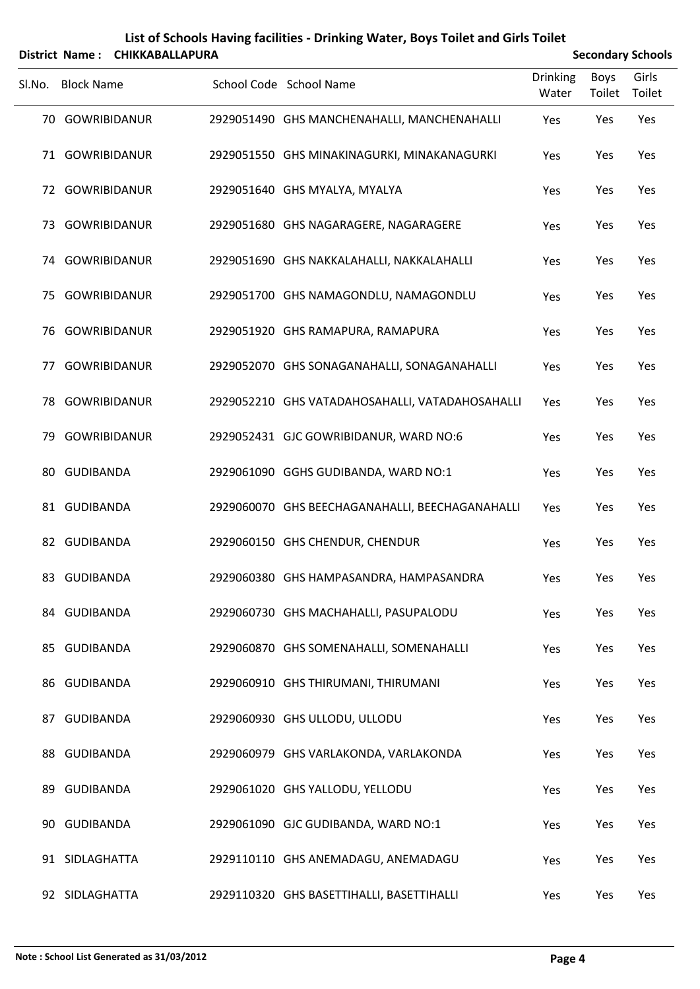|  | List of Schools Having facilities - Drinking Water, Boys Toilet and Girls Toilet |
|--|----------------------------------------------------------------------------------|
|  |                                                                                  |

| <b>Secondary Schools</b> |  |
|--------------------------|--|

|        | District Name: CHIKKABALLAPURA |  |                                                 |                          |                       | <b>Secondary Schools</b> |  |  |  |
|--------|--------------------------------|--|-------------------------------------------------|--------------------------|-----------------------|--------------------------|--|--|--|
| Sl.No. | <b>Block Name</b>              |  | School Code School Name                         | <b>Drinking</b><br>Water | <b>Boys</b><br>Toilet | Girls<br>Toilet          |  |  |  |
|        | 70 GOWRIBIDANUR                |  | 2929051490 GHS MANCHENAHALLI, MANCHENAHALLI     | Yes                      | Yes                   | Yes                      |  |  |  |
|        | 71 GOWRIBIDANUR                |  | 2929051550 GHS MINAKINAGURKI, MINAKANAGURKI     | Yes                      | Yes                   | Yes                      |  |  |  |
|        | 72 GOWRIBIDANUR                |  | 2929051640 GHS MYALYA, MYALYA                   | Yes                      | Yes                   | Yes                      |  |  |  |
|        | 73 GOWRIBIDANUR                |  | 2929051680 GHS NAGARAGERE, NAGARAGERE           | Yes                      | Yes                   | Yes                      |  |  |  |
| 74     | GOWRIBIDANUR                   |  | 2929051690 GHS NAKKALAHALLI, NAKKALAHALLI       | Yes                      | Yes                   | Yes                      |  |  |  |
| 75     | GOWRIBIDANUR                   |  | 2929051700 GHS NAMAGONDLU, NAMAGONDLU           | Yes                      | Yes                   | Yes                      |  |  |  |
| 76     | GOWRIBIDANUR                   |  | 2929051920 GHS RAMAPURA, RAMAPURA               | Yes                      | Yes                   | Yes                      |  |  |  |
| 77     | GOWRIBIDANUR                   |  | 2929052070 GHS SONAGANAHALLI, SONAGANAHALLI     | Yes                      | Yes                   | Yes                      |  |  |  |
| 78     | <b>GOWRIBIDANUR</b>            |  | 2929052210 GHS VATADAHOSAHALLI, VATADAHOSAHALLI | Yes                      | Yes                   | Yes                      |  |  |  |
| 79     | GOWRIBIDANUR                   |  | 2929052431 GJC GOWRIBIDANUR, WARD NO:6          | Yes                      | Yes                   | Yes                      |  |  |  |
| 80     | <b>GUDIBANDA</b>               |  | 2929061090 GGHS GUDIBANDA, WARD NO:1            | Yes                      | Yes                   | Yes                      |  |  |  |
|        | 81 GUDIBANDA                   |  | 2929060070 GHS BEECHAGANAHALLI, BEECHAGANAHALLI | Yes                      | Yes                   | Yes                      |  |  |  |
|        | 82 GUDIBANDA                   |  | 2929060150 GHS CHENDUR, CHENDUR                 | Yes                      | Yes                   | Yes                      |  |  |  |
|        | 83 GUDIBANDA                   |  | 2929060380 GHS HAMPASANDRA, HAMPASANDRA         | Yes                      | Yes                   | Yes                      |  |  |  |
|        | 84 GUDIBANDA                   |  | 2929060730 GHS MACHAHALLI, PASUPALODU           | Yes                      | Yes                   | Yes                      |  |  |  |
|        | 85 GUDIBANDA                   |  | 2929060870 GHS SOMENAHALLI, SOMENAHALLI         | Yes                      | Yes                   | Yes                      |  |  |  |
|        | 86 GUDIBANDA                   |  | 2929060910 GHS THIRUMANI, THIRUMANI             | Yes                      | Yes                   | Yes                      |  |  |  |
|        | 87 GUDIBANDA                   |  | 2929060930 GHS ULLODU, ULLODU                   | Yes                      | Yes                   | Yes                      |  |  |  |
|        | 88 GUDIBANDA                   |  | 2929060979 GHS VARLAKONDA, VARLAKONDA           | Yes                      | Yes                   | Yes                      |  |  |  |
| 89     | GUDIBANDA                      |  | 2929061020 GHS YALLODU, YELLODU                 | Yes                      | Yes                   | Yes                      |  |  |  |
|        | 90 GUDIBANDA                   |  | 2929061090 GJC GUDIBANDA, WARD NO:1             | Yes                      | Yes                   | Yes                      |  |  |  |
|        | 91 SIDLAGHATTA                 |  | 2929110110 GHS ANEMADAGU, ANEMADAGU             | Yes                      | Yes                   | Yes                      |  |  |  |
|        | 92 SIDLAGHATTA                 |  | 2929110320 GHS BASETTIHALLI, BASETTIHALLI       | Yes                      | Yes                   | Yes                      |  |  |  |